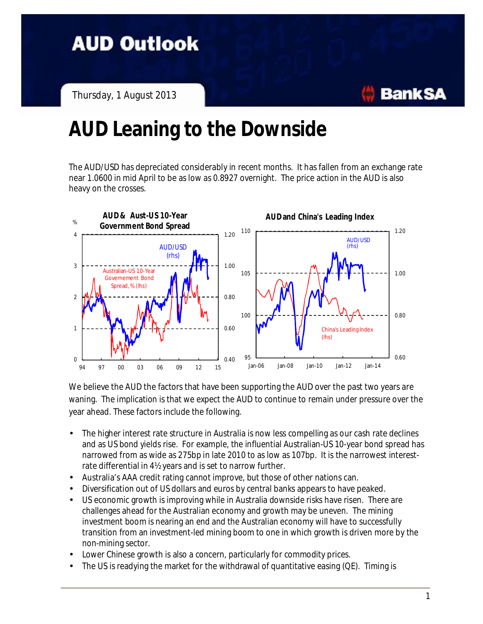Thursday, 1 August 2013

## **AUD Leaning to the Downside**

The AUD/USD has depreciated considerably in recent months. It has fallen from an exchange rate near 1.0600 in mid April to be as low as 0.8927 overnight. The price action in the AUD is also heavy on the crosses.



We believe the AUD the factors that have been supporting the AUD over the past two years are waning. The implication is that we expect the AUD to continue to remain under pressure over the year ahead. These factors include the following.

- The higher interest rate structure in Australia is now less compelling as our cash rate declines and as US bond yields rise. For example, the influential Australian-US 10-year bond spread has narrowed from as wide as 275bp in late 2010 to as low as 107bp. It is the narrowest interestrate differential in 4½ years and is set to narrow further.
- Australia's AAA credit rating cannot improve, but those of other nations can.
- Diversification out of US dollars and euros by central banks appears to have peaked.
- US economic growth is improving while in Australia downside risks have risen. There are challenges ahead for the Australian economy and growth may be uneven. The mining investment boom is nearing an end and the Australian economy will have to successfully transition from an investment-led mining boom to one in which growth is driven more by the non-mining sector.
- Lower Chinese growth is also a concern, particularly for commodity prices.
- The US is readying the market for the withdrawal of quantitative easing (QE). Timing is

**BankSA**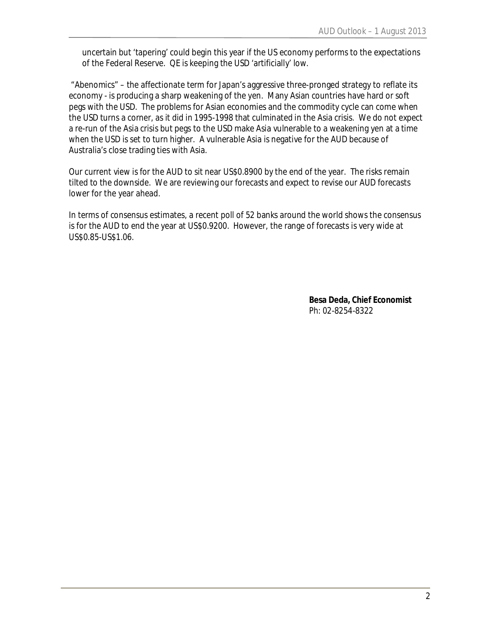uncertain but 'tapering' could begin this year if the US economy performs to the expectations of the Federal Reserve. QE is keeping the USD 'artificially' low.

 "Abenomics" – the affectionate term for Japan's aggressive three-pronged strategy to reflate its economy - is producing a sharp weakening of the yen. Many Asian countries have hard or soft pegs with the USD. The problems for Asian economies and the commodity cycle can come when the USD turns a corner, as it did in 1995-1998 that culminated in the Asia crisis. We do not expect a re-run of the Asia crisis but pegs to the USD make Asia vulnerable to a weakening yen at a time when the USD is set to turn higher. A vulnerable Asia is negative for the AUD because of Australia's close trading ties with Asia.

Our current view is for the AUD to sit near US\$0.8900 by the end of the year. The risks remain tilted to the downside. We are reviewing our forecasts and expect to revise our AUD forecasts lower for the year ahead.

In terms of consensus estimates, a recent poll of 52 banks around the world shows the consensus is for the AUD to end the year at US\$0.9200. However, the range of forecasts is very wide at US\$0.85-US\$1.06.

> **Besa Deda, Chief Economist** Ph: 02-8254-8322